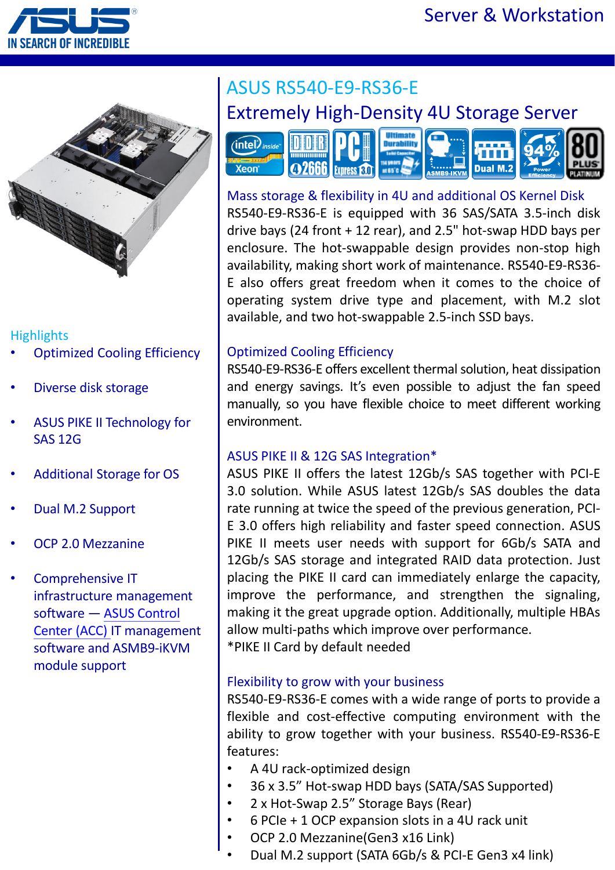



## **Highlights**

- **Optimized Cooling Efficiency**
- Diverse disk storage
- ASUS PIKE II Technology for SAS 12G
- Additional Storage for OS
- Dual M.2 Support
- OCP 2.0 Mezzanine
- Comprehensive IT infrastructure management software — ASUS Control [Center \(ACC\)](https://asuscontrolcenter.asus.com/) IT management software and ASMB9-iKVM module support

# ASUS RS540-E9-RS36-E Extremely High-Density 4U Storage Server



Mass storage & flexibility in 4U and additional OS Kernel Disk RS540-E9-RS36-E is equipped with 36 SAS/SATA 3.5-inch disk drive bays (24 front + 12 rear), and 2.5" hot-swap HDD bays per enclosure. The hot-swappable design provides non-stop high availability, making short work of maintenance. RS540-E9-RS36- E also offers great freedom when it comes to the choice of operating system drive type and placement, with M.2 slot available, and two hot-swappable 2.5-inch SSD bays.

#### Optimized Cooling Efficiency

RS540-E9-RS36-E offers excellent thermal solution, heat dissipation and energy savings. It's even possible to adjust the fan speed manually, so you have flexible choice to meet different working environment.

#### ASUS PIKE II & 12G SAS Integration\*

ASUS PIKE II offers the latest 12Gb/s SAS together with PCI-E 3.0 solution. While ASUS latest 12Gb/s SAS doubles the data rate running at twice the speed of the previous generation, PCI-E 3.0 offers high reliability and faster speed connection. ASUS PIKE II meets user needs with support for 6Gb/s SATA and 12Gb/s SAS storage and integrated RAID data protection. Just placing the PIKE II card can immediately enlarge the capacity, improve the performance, and strengthen the signaling, making it the great upgrade option. Additionally, multiple HBAs allow multi-paths which improve over performance.

\*PIKE II Card by default needed

### Flexibility to grow with your business

RS540-E9-RS36-E comes with a wide range of ports to provide a flexible and cost-effective computing environment with the ability to grow together with your business. RS540-E9-RS36-E features:

- A 4U rack-optimized design
- 36 x 3.5" Hot-swap HDD bays (SATA/SAS Supported)
- 2 x Hot-Swap 2.5" Storage Bays (Rear)
- 6 PCIe + 1 OCP expansion slots in a 4U rack unit
- OCP 2.0 Mezzanine(Gen3 x16 Link)
	- Dual M.2 support (SATA 6Gb/s & PCI-E Gen3 x4 link)